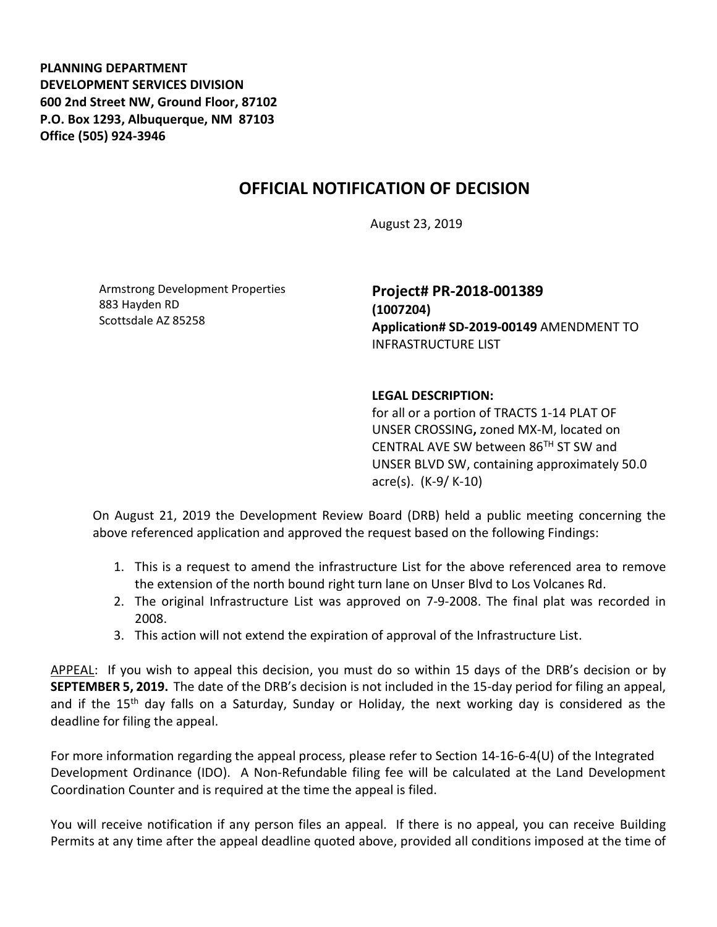**PLANNING DEPARTMENT DEVELOPMENT SERVICES DIVISION 600 2nd Street NW, Ground Floor, 87102 P.O. Box 1293, Albuquerque, NM 87103 Office (505) 924-3946** 

## **OFFICIAL NOTIFICATION OF DECISION**

August 23, 2019

Armstrong Development Properties 883 Hayden RD Scottsdale AZ 85258

**Project# PR-2018-001389 (1007204) Application# SD-2019-00149** AMENDMENT TO INFRASTRUCTURE LIST

## **LEGAL DESCRIPTION:**

for all or a portion of TRACTS 1-14 PLAT OF UNSER CROSSING**,** zoned MX-M, located on CENTRAL AVE SW between  $86<sup>TH</sup>$  ST SW and UNSER BLVD SW, containing approximately 50.0 acre(s). (K-9/ K-10)

On August 21, 2019 the Development Review Board (DRB) held a public meeting concerning the above referenced application and approved the request based on the following Findings:

- 1. This is a request to amend the infrastructure List for the above referenced area to remove the extension of the north bound right turn lane on Unser Blvd to Los Volcanes Rd.
- 2. The original Infrastructure List was approved on 7-9-2008. The final plat was recorded in 2008.
- 3. This action will not extend the expiration of approval of the Infrastructure List.

APPEAL: If you wish to appeal this decision, you must do so within 15 days of the DRB's decision or by **SEPTEMBER 5, 2019.** The date of the DRB's decision is not included in the 15-day period for filing an appeal, and if the 15<sup>th</sup> day falls on a Saturday, Sunday or Holiday, the next working day is considered as the deadline for filing the appeal.

For more information regarding the appeal process, please refer to Section 14-16-6-4(U) of the Integrated Development Ordinance (IDO). A Non-Refundable filing fee will be calculated at the Land Development Coordination Counter and is required at the time the appeal is filed.

You will receive notification if any person files an appeal. If there is no appeal, you can receive Building Permits at any time after the appeal deadline quoted above, provided all conditions imposed at the time of